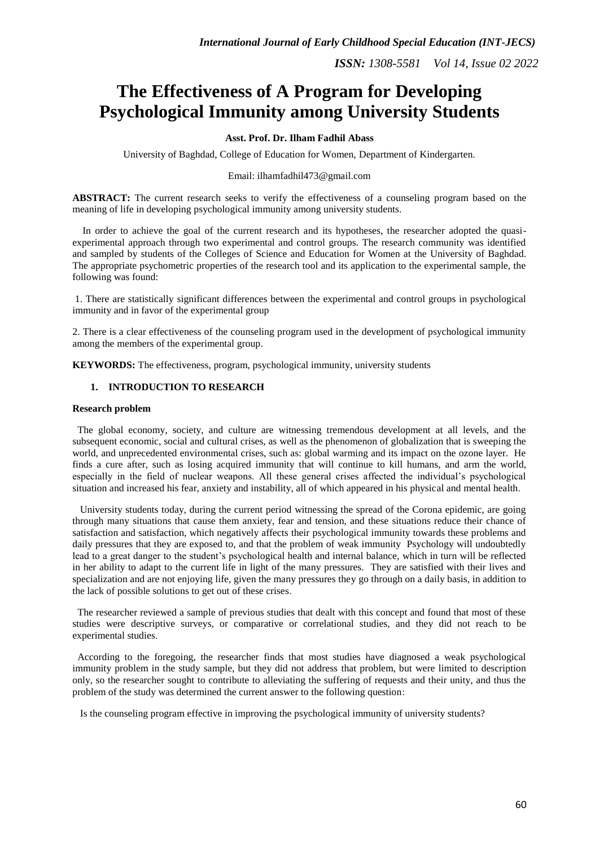# **The Effectiveness of A Program for Developing Psychological Immunity among University Students**

# **Asst. Prof. Dr. Ilham Fadhil Abass**

University of Baghdad, College of Education for Women, Department of Kindergarten.

## Email: ilhamfadhil473@gmail.com

**ABSTRACT:** The current research seeks to verify the effectiveness of a counseling program based on the meaning of life in developing psychological immunity among university students.

 In order to achieve the goal of the current research and its hypotheses, the researcher adopted the quasiexperimental approach through two experimental and control groups. The research community was identified and sampled by students of the Colleges of Science and Education for Women at the University of Baghdad. The appropriate psychometric properties of the research tool and its application to the experimental sample, the following was found:

1. There are statistically significant differences between the experimental and control groups in psychological immunity and in favor of the experimental group

2. There is a clear effectiveness of the counseling program used in the development of psychological immunity among the members of the experimental group.

**KEYWORDS:** The effectiveness, program, psychological immunity, university students

## **1. INTRODUCTION TO RESEARCH**

## **Research problem**

 The global economy, society, and culture are witnessing tremendous development at all levels, and the subsequent economic, social and cultural crises, as well as the phenomenon of globalization that is sweeping the world, and unprecedented environmental crises, such as: global warming and its impact on the ozone layer. He finds a cure after, such as losing acquired immunity that will continue to kill humans, and arm the world, especially in the field of nuclear weapons. All these general crises affected the individual's psychological situation and increased his fear, anxiety and instability, all of which appeared in his physical and mental health.

 University students today, during the current period witnessing the spread of the Corona epidemic, are going through many situations that cause them anxiety, fear and tension, and these situations reduce their chance of satisfaction and satisfaction, which negatively affects their psychological immunity towards these problems and daily pressures that they are exposed to, and that the problem of weak immunity Psychology will undoubtedly lead to a great danger to the student's psychological health and internal balance, which in turn will be reflected in her ability to adapt to the current life in light of the many pressures. They are satisfied with their lives and specialization and are not enjoying life, given the many pressures they go through on a daily basis, in addition to the lack of possible solutions to get out of these crises.

 The researcher reviewed a sample of previous studies that dealt with this concept and found that most of these studies were descriptive surveys, or comparative or correlational studies, and they did not reach to be experimental studies.

 According to the foregoing, the researcher finds that most studies have diagnosed a weak psychological immunity problem in the study sample, but they did not address that problem, but were limited to description only, so the researcher sought to contribute to alleviating the suffering of requests and their unity, and thus the problem of the study was determined the current answer to the following question:

Is the counseling program effective in improving the psychological immunity of university students?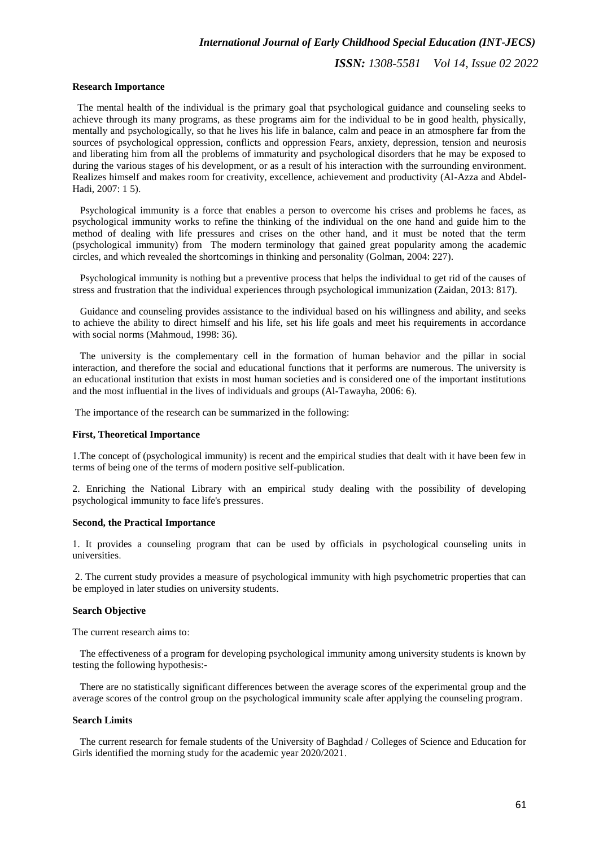*ISSN: 1308-5581 Vol 14, Issue 02 2022*

#### **Research Importance**

 The mental health of the individual is the primary goal that psychological guidance and counseling seeks to achieve through its many programs, as these programs aim for the individual to be in good health, physically, mentally and psychologically, so that he lives his life in balance, calm and peace in an atmosphere far from the sources of psychological oppression, conflicts and oppression Fears, anxiety, depression, tension and neurosis and liberating him from all the problems of immaturity and psychological disorders that he may be exposed to during the various stages of his development, or as a result of his interaction with the surrounding environment. Realizes himself and makes room for creativity, excellence, achievement and productivity (Al-Azza and Abdel-Hadi, 2007: 1 5).

 Psychological immunity is a force that enables a person to overcome his crises and problems he faces, as psychological immunity works to refine the thinking of the individual on the one hand and guide him to the method of dealing with life pressures and crises on the other hand, and it must be noted that the term (psychological immunity) from The modern terminology that gained great popularity among the academic circles, and which revealed the shortcomings in thinking and personality (Golman, 2004: 227).

 Psychological immunity is nothing but a preventive process that helps the individual to get rid of the causes of stress and frustration that the individual experiences through psychological immunization (Zaidan, 2013: 817).

 Guidance and counseling provides assistance to the individual based on his willingness and ability, and seeks to achieve the ability to direct himself and his life, set his life goals and meet his requirements in accordance with social norms (Mahmoud, 1998: 36).

 The university is the complementary cell in the formation of human behavior and the pillar in social interaction, and therefore the social and educational functions that it performs are numerous. The university is an educational institution that exists in most human societies and is considered one of the important institutions and the most influential in the lives of individuals and groups  $(Al-Tawayha, 2006: 6)$ .

The importance of the research can be summarized in the following:

#### **First, Theoretical Importance**

1.The concept of (psychological immunity) is recent and the empirical studies that dealt with it have been few in terms of being one of the terms of modern positive self-publication.

2. Enriching the National Library with an empirical study dealing with the possibility of developing psychological immunity to face life's pressures.

## **Second, the Practical Importance**

1. It provides a counseling program that can be used by officials in psychological counseling units in universities.

2. The current study provides a measure of psychological immunity with high psychometric properties that can be employed in later studies on university students.

#### **Search Objective**

The current research aims to:

 The effectiveness of a program for developing psychological immunity among university students is known by testing the following hypothesis:-

 There are no statistically significant differences between the average scores of the experimental group and the average scores of the control group on the psychological immunity scale after applying the counseling program.

## **Search Limits**

 The current research for female students of the University of Baghdad / Colleges of Science and Education for Girls identified the morning study for the academic year 2020/2021.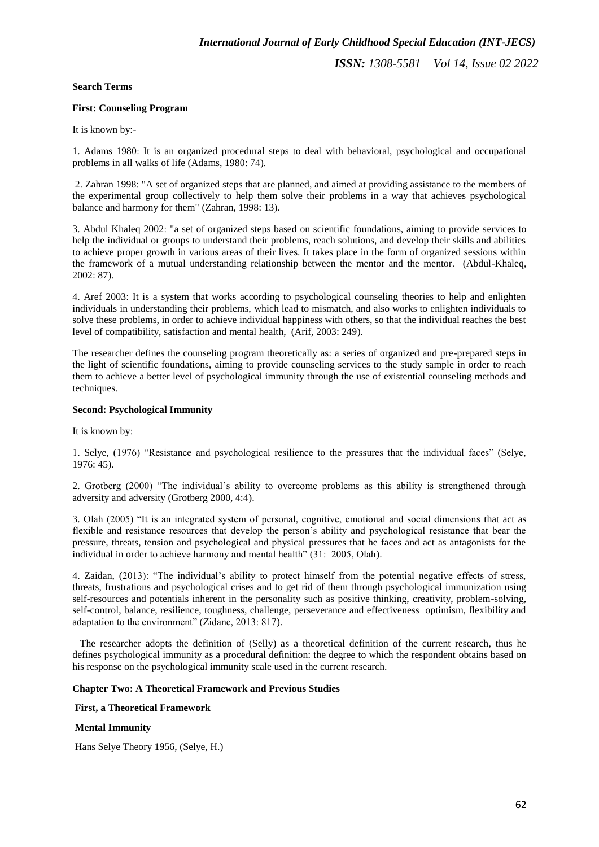## **Search Terms**

## **First: Counseling Program**

It is known by:-

1. Adams 1980: It is an organized procedural steps to deal with behavioral, psychological and occupational problems in all walks of life (Adams, 1980: 74).

2. Zahran 1998: "A set of organized steps that are planned, and aimed at providing assistance to the members of the experimental group collectively to help them solve their problems in a way that achieves psychological balance and harmony for them" (Zahran, 1998: 13).

3. Abdul Khaleq 2002: "a set of organized steps based on scientific foundations, aiming to provide services to help the individual or groups to understand their problems, reach solutions, and develop their skills and abilities to achieve proper growth in various areas of their lives. It takes place in the form of organized sessions within the framework of a mutual understanding relationship between the mentor and the mentor. (Abdul-Khaleq, 2002: 87).

4. Aref 2003: It is a system that works according to psychological counseling theories to help and enlighten individuals in understanding their problems, which lead to mismatch, and also works to enlighten individuals to solve these problems, in order to achieve individual happiness with others, so that the individual reaches the best level of compatibility, satisfaction and mental health, (Arif, 2003: 249).

The researcher defines the counseling program theoretically as: a series of organized and pre-prepared steps in the light of scientific foundations, aiming to provide counseling services to the study sample in order to reach them to achieve a better level of psychological immunity through the use of existential counseling methods and techniques.

## **Second: Psychological Immunity**

It is known by:

1. Selye, (1976) "Resistance and psychological resilience to the pressures that the individual faces" (Selye, 1976: 45).

2. Grotberg (2000) "The individual's ability to overcome problems as this ability is strengthened through adversity and adversity (Grotberg 2000, 4:4).

3. Olah (2005) "It is an integrated system of personal, cognitive, emotional and social dimensions that act as flexible and resistance resources that develop the person's ability and psychological resistance that bear the pressure, threats, tension and psychological and physical pressures that he faces and act as antagonists for the individual in order to achieve harmony and mental health" (31: 2005, Olah).

4. Zaidan, (2013): "The individual's ability to protect himself from the potential negative effects of stress, threats, frustrations and psychological crises and to get rid of them through psychological immunization using self-resources and potentials inherent in the personality such as positive thinking, creativity, problem-solving, self-control, balance, resilience, toughness, challenge, perseverance and effectiveness optimism, flexibility and adaptation to the environment" (Zidane, 2013: 817).

 The researcher adopts the definition of (Selly) as a theoretical definition of the current research, thus he defines psychological immunity as a procedural definition: the degree to which the respondent obtains based on his response on the psychological immunity scale used in the current research.

#### **Chapter Two: A Theoretical Framework and Previous Studies**

#### **First, a Theoretical Framework**

#### **Mental Immunity**

Hans Selye Theory 1956, (Selye, H.)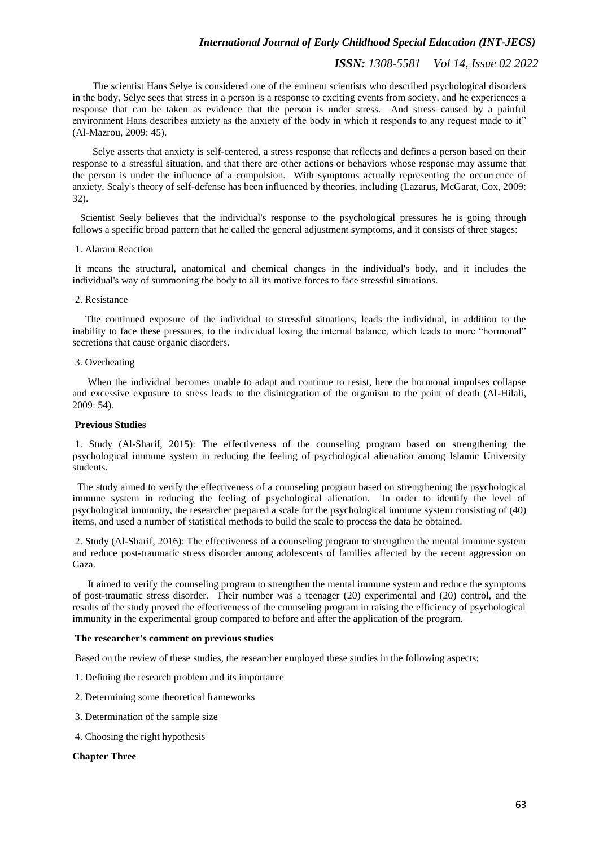# *ISSN: 1308-5581 Vol 14, Issue 02 2022*

 The scientist Hans Selye is considered one of the eminent scientists who described psychological disorders in the body, Selye sees that stress in a person is a response to exciting events from society, and he experiences a response that can be taken as evidence that the person is under stress. And stress caused by a painful environment Hans describes anxiety as the anxiety of the body in which it responds to any request made to it" (Al-Mazrou, 2009: 45).

 Selye asserts that anxiety is self-centered, a stress response that reflects and defines a person based on their response to a stressful situation, and that there are other actions or behaviors whose response may assume that the person is under the influence of a compulsion. With symptoms actually representing the occurrence of anxiety, Sealy's theory of self-defense has been influenced by theories, including (Lazarus, McGarat, Cox, 2009: 32).

 Scientist Seely believes that the individual's response to the psychological pressures he is going through follows a specific broad pattern that he called the general adjustment symptoms, and it consists of three stages:

#### 1. Alaram Reaction

It means the structural, anatomical and chemical changes in the individual's body, and it includes the individual's way of summoning the body to all its motive forces to face stressful situations.

#### 2. Resistance

 The continued exposure of the individual to stressful situations, leads the individual, in addition to the inability to face these pressures, to the individual losing the internal balance, which leads to more "hormonal" secretions that cause organic disorders.

#### 3. Overheating

 When the individual becomes unable to adapt and continue to resist, here the hormonal impulses collapse and excessive exposure to stress leads to the disintegration of the organism to the point of death (Al-Hilali, 2009: 54).

#### **Previous Studies**

1. Study (Al-Sharif, 2015): The effectiveness of the counseling program based on strengthening the psychological immune system in reducing the feeling of psychological alienation among Islamic University students.

 The study aimed to verify the effectiveness of a counseling program based on strengthening the psychological immune system in reducing the feeling of psychological alienation. In order to identify the level of psychological immunity, the researcher prepared a scale for the psychological immune system consisting of (40) items, and used a number of statistical methods to build the scale to process the data he obtained.

2. Study (Al-Sharif, 2016): The effectiveness of a counseling program to strengthen the mental immune system and reduce post-traumatic stress disorder among adolescents of families affected by the recent aggression on Gaza.

 It aimed to verify the counseling program to strengthen the mental immune system and reduce the symptoms of post-traumatic stress disorder. Their number was a teenager (20) experimental and (20) control, and the results of the study proved the effectiveness of the counseling program in raising the efficiency of psychological immunity in the experimental group compared to before and after the application of the program.

#### **The researcher's comment on previous studies**

Based on the review of these studies, the researcher employed these studies in the following aspects:

- 1. Defining the research problem and its importance
- 2. Determining some theoretical frameworks
- 3. Determination of the sample size
- 4. Choosing the right hypothesis

#### **Chapter Three**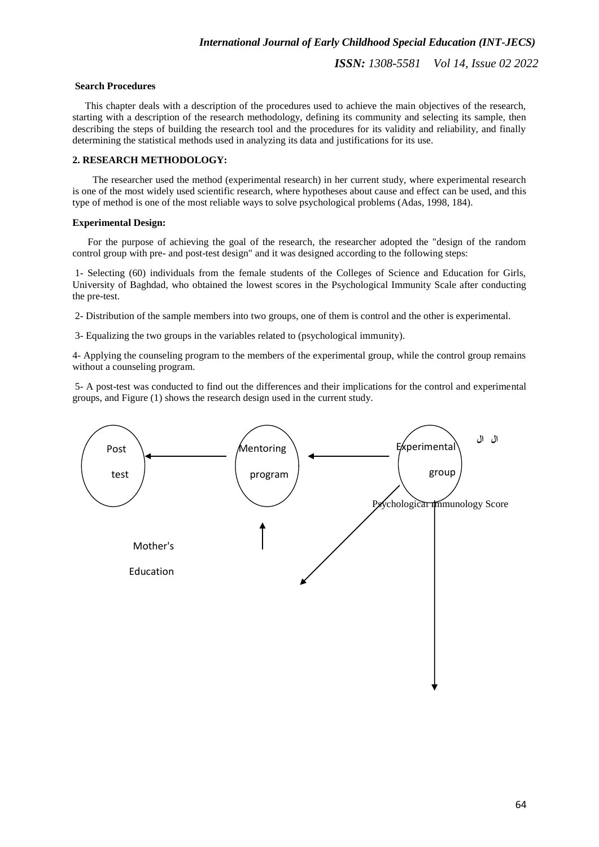#### **Search Procedures**

 This chapter deals with a description of the procedures used to achieve the main objectives of the research, starting with a description of the research methodology, defining its community and selecting its sample, then describing the steps of building the research tool and the procedures for its validity and reliability, and finally determining the statistical methods used in analyzing its data and justifications for its use.

## **2. RESEARCH METHODOLOGY:**

 The researcher used the method (experimental research) in her current study, where experimental research is one of the most widely used scientific research, where hypotheses about cause and effect can be used, and this type of method is one of the most reliable ways to solve psychological problems (Adas, 1998, 184).

#### **Experimental Design:**

 For the purpose of achieving the goal of the research, the researcher adopted the "design of the random control group with pre- and post-test design" and it was designed according to the following steps:

1- Selecting (60) individuals from the female students of the Colleges of Science and Education for Girls, University of Baghdad, who obtained the lowest scores in the Psychological Immunity Scale after conducting the pre-test.

2- Distribution of the sample members into two groups, one of them is control and the other is experimental.

3- Equalizing the two groups in the variables related to (psychological immunity).

4- Applying the counseling program to the members of the experimental group, while the control group remains without a counseling program.

5- A post-test was conducted to find out the differences and their implications for the control and experimental groups, and Figure (1) shows the research design used in the current study.

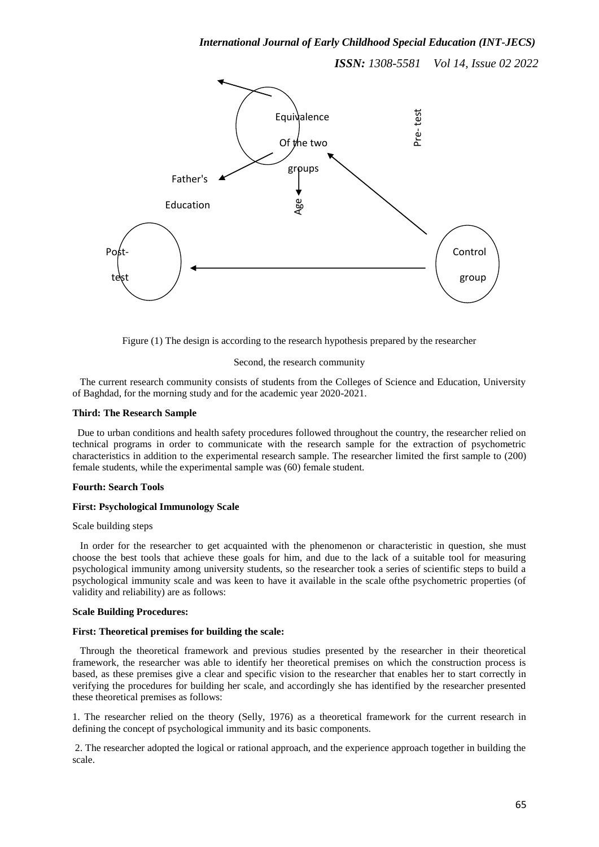

Figure (1) The design is according to the research hypothesis prepared by the researcher

#### Second, the research community

 The current research community consists of students from the Colleges of Science and Education, University of Baghdad, for the morning study and for the academic year 2020-2021.

## **Third: The Research Sample**

 Due to urban conditions and health safety procedures followed throughout the country, the researcher relied on technical programs in order to communicate with the research sample for the extraction of psychometric characteristics in addition to the experimental research sample. The researcher limited the first sample to (200) female students, while the experimental sample was (60) female student.

#### **Fourth: Search Tools**

#### **First: Psychological Immunology Scale**

#### Scale building steps

 In order for the researcher to get acquainted with the phenomenon or characteristic in question, she must choose the best tools that achieve these goals for him, and due to the lack of a suitable tool for measuring psychological immunity among university students, so the researcher took a series of scientific steps to build a psychological immunity scale and was keen to have it available in the scale ofthe psychometric properties (of validity and reliability) are as follows:

#### **Scale Building Procedures:**

## **First: Theoretical premises for building the scale:**

 Through the theoretical framework and previous studies presented by the researcher in their theoretical framework, the researcher was able to identify her theoretical premises on which the construction process is based, as these premises give a clear and specific vision to the researcher that enables her to start correctly in verifying the procedures for building her scale, and accordingly she has identified by the researcher presented these theoretical premises as follows:

1. The researcher relied on the theory (Selly, 1976) as a theoretical framework for the current research in defining the concept of psychological immunity and its basic components.

2. The researcher adopted the logical or rational approach, and the experience approach together in building the scale.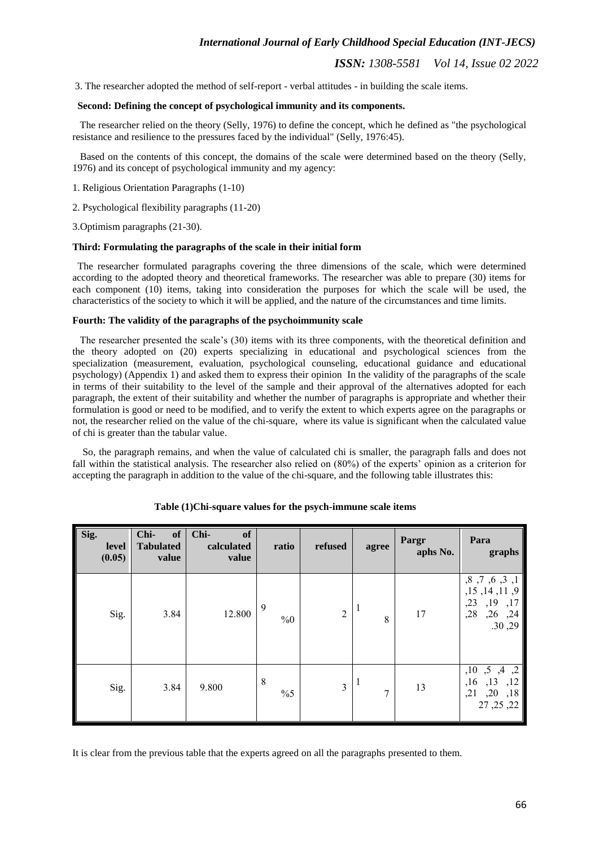3. The researcher adopted the method of self-report - verbal attitudes - in building the scale items.

#### **Second: Defining the concept of psychological immunity and its components.**

 The researcher relied on the theory (Selly, 1976) to define the concept, which he defined as "the psychological resistance and resilience to the pressures faced by the individual" (Selly, 1976:45).

 Based on the contents of this concept, the domains of the scale were determined based on the theory (Selly, 1976) and its concept of psychological immunity and my agency:

#### 1. Religious Orientation Paragraphs (1-10)

2. Psychological flexibility paragraphs (11-20)

3.Optimism paragraphs (21-30).

#### **Third: Formulating the paragraphs of the scale in their initial form**

 The researcher formulated paragraphs covering the three dimensions of the scale, which were determined according to the adopted theory and theoretical frameworks. The researcher was able to prepare (30) items for each component (10) items, taking into consideration the purposes for which the scale will be used, the characteristics of the society to which it will be applied, and the nature of the circumstances and time limits.

#### **Fourth: The validity of the paragraphs of the psychoimmunity scale**

 The researcher presented the scale's (30) items with its three components, with the theoretical definition and the theory adopted on (20) experts specializing in educational and psychological sciences from the specialization (measurement, evaluation, psychological counseling, educational guidance and educational psychology) (Appendix 1) and asked them to express their opinion In the validity of the paragraphs of the scale in terms of their suitability to the level of the sample and their approval of the alternatives adopted for each paragraph, the extent of their suitability and whether the number of paragraphs is appropriate and whether their formulation is good or need to be modified, and to verify the extent to which experts agree on the paragraphs or not, the researcher relied on the value of the chi-square, where its value is significant when the calculated value of chi is greater than the tabular value.

 So, the paragraph remains, and when the value of calculated chi is smaller, the paragraph falls and does not fall within the statistical analysis. The researcher also relied on (80%) of the experts' opinion as a criterion for accepting the paragraph in addition to the value of the chi-square, and the following table illustrates this:

| Sig.<br>level<br>(0.05) | of<br>Chi-<br><b>Tabulated</b><br>value | Chi-<br>of<br>calculated<br>value | ratio      | refused        | agree  | Pargr<br>aphs No. | Para<br>graphs                                                            |
|-------------------------|-----------------------------------------|-----------------------------------|------------|----------------|--------|-------------------|---------------------------------------------------------------------------|
| Sig.                    | 3.84                                    | 12.800                            | 9<br>$\%0$ | $\overline{2}$ | 1<br>8 | 17                | ,8,7,6,3,1<br>,15,14,11,9<br>,23<br>,19,17<br>,28<br>,26, 24<br>.30,29    |
| Sig.                    | 3.84                                    | 9.800                             | 8<br>%5    | $\overline{3}$ | 7      | 13                | ,10<br>,5, 4, 2<br>,16<br>, 13<br>,12<br>, 21<br>,20<br>,18<br>27, 25, 22 |

#### **Table (1)Chi-square values for the psych-immune scale items**

It is clear from the previous table that the experts agreed on all the paragraphs presented to them.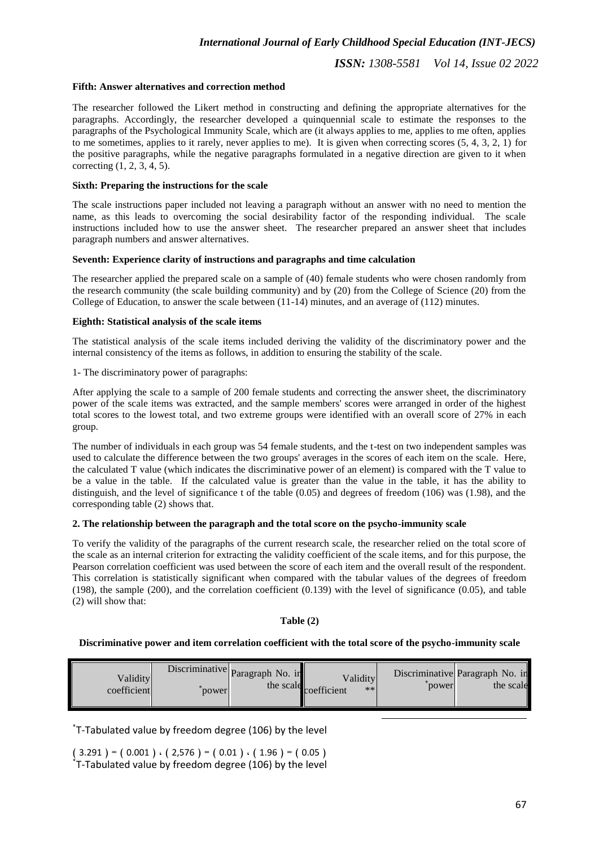*ISSN: 1308-5581 Vol 14, Issue 02 2022*

## **Fifth: Answer alternatives and correction method**

The researcher followed the Likert method in constructing and defining the appropriate alternatives for the paragraphs. Accordingly, the researcher developed a quinquennial scale to estimate the responses to the paragraphs of the Psychological Immunity Scale, which are (it always applies to me, applies to me often, applies to me sometimes, applies to it rarely, never applies to me). It is given when correcting scores (5, 4, 3, 2, 1) for the positive paragraphs, while the negative paragraphs formulated in a negative direction are given to it when correcting (1, 2, 3, 4, 5).

## **Sixth: Preparing the instructions for the scale**

The scale instructions paper included not leaving a paragraph without an answer with no need to mention the name, as this leads to overcoming the social desirability factor of the responding individual. The scale instructions included how to use the answer sheet. The researcher prepared an answer sheet that includes paragraph numbers and answer alternatives.

## **Seventh: Experience clarity of instructions and paragraphs and time calculation**

The researcher applied the prepared scale on a sample of (40) female students who were chosen randomly from the research community (the scale building community) and by (20) from the College of Science (20) from the College of Education, to answer the scale between (11-14) minutes, and an average of (112) minutes.

## **Eighth: Statistical analysis of the scale items**

The statistical analysis of the scale items included deriving the validity of the discriminatory power and the internal consistency of the items as follows, in addition to ensuring the stability of the scale.

1- The discriminatory power of paragraphs:

After applying the scale to a sample of 200 female students and correcting the answer sheet, the discriminatory power of the scale items was extracted, and the sample members' scores were arranged in order of the highest total scores to the lowest total, and two extreme groups were identified with an overall score of 27% in each group.

The number of individuals in each group was 54 female students, and the t-test on two independent samples was used to calculate the difference between the two groups' averages in the scores of each item on the scale. Here, the calculated T value (which indicates the discriminative power of an element) is compared with the T value to be a value in the table. If the calculated value is greater than the value in the table, it has the ability to distinguish, and the level of significance t of the table (0.05) and degrees of freedom (106) was (1.98), and the corresponding table (2) shows that.

## **2. The relationship between the paragraph and the total score on the psycho-immunity scale**

To verify the validity of the paragraphs of the current research scale, the researcher relied on the total score of the scale as an internal criterion for extracting the validity coefficient of the scale items, and for this purpose, the Pearson correlation coefficient was used between the score of each item and the overall result of the respondent. This correlation is statistically significant when compared with the tabular values of the degrees of freedom (198), the sample (200), and the correlation coefficient (0.139) with the level of significance (0.05), and table (2) will show that:

**Table (2)**

## **Discriminative power and item correlation coefficient with the total score of the psycho-immunity scale**

| Validity<br>coefficient | Discriminative Paragraph No. in<br>power |  | Validitvl<br>the scale coefficient<br>$**$ | power | Discriminative Paragraph No. in<br>the scale |
|-------------------------|------------------------------------------|--|--------------------------------------------|-------|----------------------------------------------|
|-------------------------|------------------------------------------|--|--------------------------------------------|-------|----------------------------------------------|

1

\* T-Tabulated value by freedom degree (106) by the level

 $(3.291) = (0.001) \cdot (2.576) = (0.01) \cdot (1.96) = (0.05)$ \* T-Tabulated value by freedom degree (106) by the level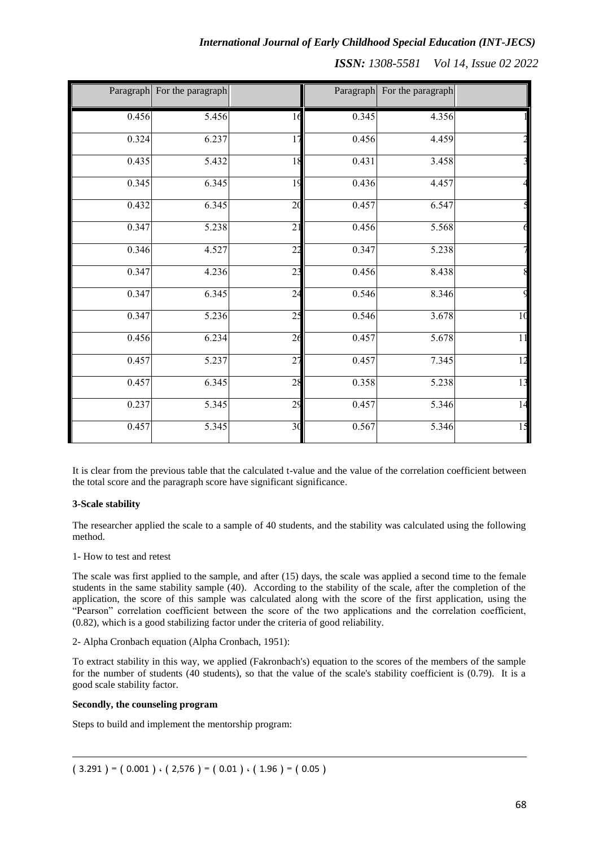|       | Paragraph For the paragraph |                 |       | Paragraph For the paragraph |                 |
|-------|-----------------------------|-----------------|-------|-----------------------------|-----------------|
| 0.456 | 5.456                       | 16              | 0.345 | 4.356                       |                 |
| 0.324 | 6.237                       | 17              | 0.456 | 4.459                       |                 |
| 0.435 | 5.432                       | 18              | 0.431 | 3.458                       |                 |
| 0.345 | 6.345                       | 19              | 0.436 | 4.457                       |                 |
| 0.432 | 6.345                       | 20              | 0.457 | 6.547                       |                 |
| 0.347 | 5.238                       | 21              | 0.456 | 5.568                       |                 |
| 0.346 | 4.527                       | 2 <sub>2</sub>  | 0.347 | 5.238                       |                 |
| 0.347 | 4.236                       | $\overline{23}$ | 0.456 | 8.438                       |                 |
| 0.347 | 6.345                       | 24              | 0.546 | 8.346                       |                 |
| 0.347 | 5.236                       | 25              | 0.546 | 3.678                       | $\overline{10}$ |
| 0.456 | 6.234                       | 26              | 0.457 | 5.678                       | 11              |
| 0.457 | 5.237                       | 27              | 0.457 | 7.345                       | 12              |
| 0.457 | 6.345                       | 28              | 0.358 | 5.238                       | $\overline{13}$ |
| 0.237 | 5.345                       | 29              | 0.457 | 5.346                       | 14              |
| 0.457 | 5.345                       | 3 <sub>0</sub>  | 0.567 | 5.346                       | 15              |

It is clear from the previous table that the calculated t-value and the value of the correlation coefficient between the total score and the paragraph score have significant significance.

# **3-Scale stability**

The researcher applied the scale to a sample of 40 students, and the stability was calculated using the following method.

1- How to test and retest

The scale was first applied to the sample, and after (15) days, the scale was applied a second time to the female students in the same stability sample (40). According to the stability of the scale, after the completion of the application, the score of this sample was calculated along with the score of the first application, using the "Pearson" correlation coefficient between the score of the two applications and the correlation coefficient, (0.82), which is a good stabilizing factor under the criteria of good reliability.

2- Alpha Cronbach equation (Alpha Cronbach, 1951):

To extract stability in this way, we applied (Fakronbach's) equation to the scores of the members of the sample for the number of students (40 students), so that the value of the scale's stability coefficient is (0.79). It is a good scale stability factor.

## **Secondly, the counseling program**

 $\overline{a}$ 

Steps to build and implement the mentorship program: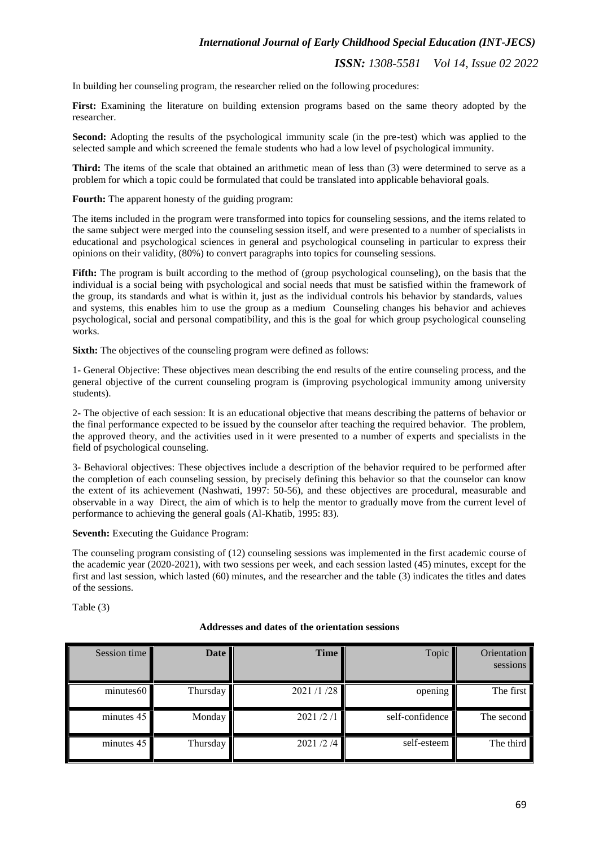# *ISSN: 1308-5581 Vol 14, Issue 02 2022*

In building her counseling program, the researcher relied on the following procedures:

**First:** Examining the literature on building extension programs based on the same theory adopted by the researcher.

**Second:** Adopting the results of the psychological immunity scale (in the pre-test) which was applied to the selected sample and which screened the female students who had a low level of psychological immunity.

**Third:** The items of the scale that obtained an arithmetic mean of less than (3) were determined to serve as a problem for which a topic could be formulated that could be translated into applicable behavioral goals.

**Fourth:** The apparent honesty of the guiding program:

The items included in the program were transformed into topics for counseling sessions, and the items related to the same subject were merged into the counseling session itself, and were presented to a number of specialists in educational and psychological sciences in general and psychological counseling in particular to express their opinions on their validity, (80%) to convert paragraphs into topics for counseling sessions.

**Fifth:** The program is built according to the method of (group psychological counseling), on the basis that the individual is a social being with psychological and social needs that must be satisfied within the framework of the group, its standards and what is within it, just as the individual controls his behavior by standards, values and systems, this enables him to use the group as a medium Counseling changes his behavior and achieves psychological, social and personal compatibility, and this is the goal for which group psychological counseling works.

**Sixth:** The objectives of the counseling program were defined as follows:

1- General Objective: These objectives mean describing the end results of the entire counseling process, and the general objective of the current counseling program is (improving psychological immunity among university students).

2- The objective of each session: It is an educational objective that means describing the patterns of behavior or the final performance expected to be issued by the counselor after teaching the required behavior. The problem, the approved theory, and the activities used in it were presented to a number of experts and specialists in the field of psychological counseling.

3- Behavioral objectives: These objectives include a description of the behavior required to be performed after the completion of each counseling session, by precisely defining this behavior so that the counselor can know the extent of its achievement (Nashwati, 1997: 50-56), and these objectives are procedural, measurable and observable in a way Direct, the aim of which is to help the mentor to gradually move from the current level of performance to achieving the general goals (Al-Khatib, 1995: 83).

**Seventh:** Executing the Guidance Program:

The counseling program consisting of (12) counseling sessions was implemented in the first academic course of the academic year (2020-2021), with two sessions per week, and each session lasted (45) minutes, except for the first and last session, which lasted (60) minutes, and the researcher and the table (3) indicates the titles and dates of the sessions.

Table (3)

| Session time | <b>Date</b> | Time      | Topic           | Orientation |
|--------------|-------------|-----------|-----------------|-------------|
|              |             |           |                 | sessions    |
| minutes60    | Thursday    | 2021/1/28 | opening         | The first   |
| minutes 45   | Monday      | 2021/2/   | self-confidence | The second  |
| minutes 45   | Thursday    | 2021/2/4  | self-esteem     | The third   |

#### **Addresses and dates of the orientation sessions**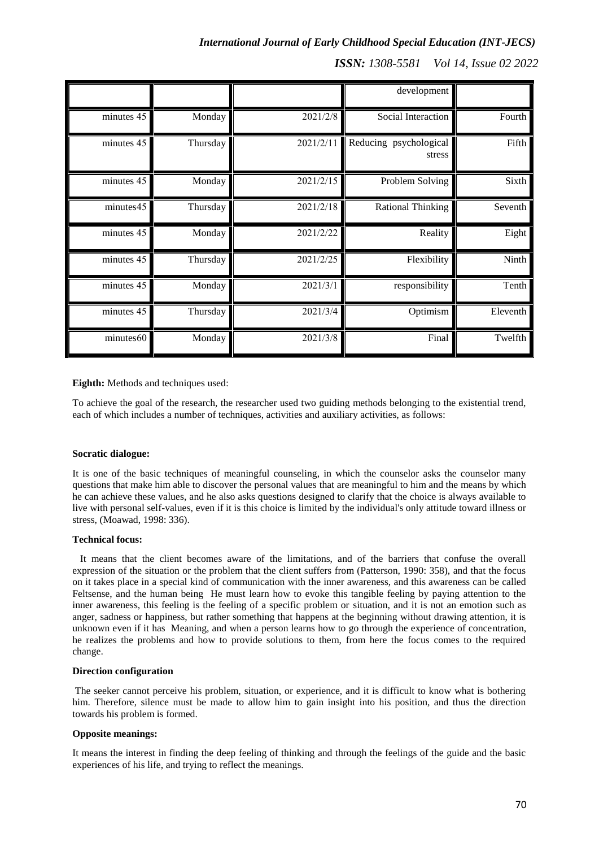|            |          |           | development                      |          |
|------------|----------|-----------|----------------------------------|----------|
| minutes 45 | Monday   | 2021/2/8  | Social Interaction               | Fourth   |
| minutes 45 | Thursday | 2021/2/11 | Reducing psychological<br>stress | Fifth    |
| minutes 45 | Monday   | 2021/2/15 | Problem Solving                  | Sixth    |
| minutes45  | Thursday | 2021/2/18 | <b>Rational Thinking</b>         | Seventh  |
| minutes 45 | Monday   | 2021/2/22 | Reality                          | Eight    |
| minutes 45 | Thursday | 2021/2/25 | Flexibility                      | Ninth    |
| minutes 45 | Monday   | 2021/3/1  | responsibility                   | Tenth    |
| minutes 45 | Thursday | 2021/3/4  | Optimism                         | Eleventh |
| minutes60  | Monday   | 2021/3/8  | Final                            | Twelfth  |

**Eighth:** Methods and techniques used:

To achieve the goal of the research, the researcher used two guiding methods belonging to the existential trend, each of which includes a number of techniques, activities and auxiliary activities, as follows:

#### **Socratic dialogue:**

It is one of the basic techniques of meaningful counseling, in which the counselor asks the counselor many questions that make him able to discover the personal values that are meaningful to him and the means by which he can achieve these values, and he also asks questions designed to clarify that the choice is always available to live with personal self-values, even if it is this choice is limited by the individual's only attitude toward illness or stress, (Moawad, 1998: 336).

## **Technical focus:**

 It means that the client becomes aware of the limitations, and of the barriers that confuse the overall expression of the situation or the problem that the client suffers from (Patterson, 1990: 358), and that the focus on it takes place in a special kind of communication with the inner awareness, and this awareness can be called Feltsense, and the human being He must learn how to evoke this tangible feeling by paying attention to the inner awareness, this feeling is the feeling of a specific problem or situation, and it is not an emotion such as anger, sadness or happiness, but rather something that happens at the beginning without drawing attention, it is unknown even if it has Meaning, and when a person learns how to go through the experience of concentration, he realizes the problems and how to provide solutions to them, from here the focus comes to the required change.

#### **Direction configuration**

The seeker cannot perceive his problem, situation, or experience, and it is difficult to know what is bothering him. Therefore, silence must be made to allow him to gain insight into his position, and thus the direction towards his problem is formed.

## **Opposite meanings:**

It means the interest in finding the deep feeling of thinking and through the feelings of the guide and the basic experiences of his life, and trying to reflect the meanings.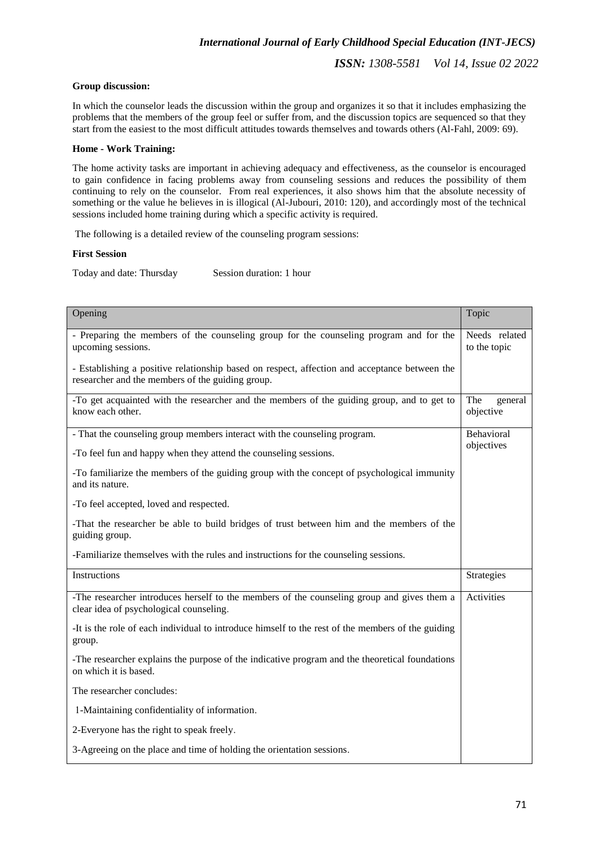*ISSN: 1308-5581 Vol 14, Issue 02 2022*

## **Group discussion:**

In which the counselor leads the discussion within the group and organizes it so that it includes emphasizing the problems that the members of the group feel or suffer from, and the discussion topics are sequenced so that they start from the easiest to the most difficult attitudes towards themselves and towards others (Al-Fahl, 2009: 69).

## **Home - Work Training:**

The home activity tasks are important in achieving adequacy and effectiveness, as the counselor is encouraged to gain confidence in facing problems away from counseling sessions and reduces the possibility of them continuing to rely on the counselor. From real experiences, it also shows him that the absolute necessity of something or the value he believes in is illogical (Al-Jubouri, 2010: 120), and accordingly most of the technical sessions included home training during which a specific activity is required.

The following is a detailed review of the counseling program sessions:

## **First Session**

Today and date: Thursday Session duration: 1 hour

| Opening                                                                                                                                           | Topic                         |
|---------------------------------------------------------------------------------------------------------------------------------------------------|-------------------------------|
| - Preparing the members of the counseling group for the counseling program and for the<br>upcoming sessions.                                      | Needs related<br>to the topic |
| - Establishing a positive relationship based on respect, affection and acceptance between the<br>researcher and the members of the guiding group. |                               |
| -To get acquainted with the researcher and the members of the guiding group, and to get to<br>know each other.                                    | The<br>general<br>objective   |
| - That the counseling group members interact with the counseling program.                                                                         | Behavioral<br>objectives      |
| -To feel fun and happy when they attend the counseling sessions.                                                                                  |                               |
| -To familiarize the members of the guiding group with the concept of psychological immunity<br>and its nature.                                    |                               |
| -To feel accepted, loved and respected.                                                                                                           |                               |
| -That the researcher be able to build bridges of trust between him and the members of the<br>guiding group.                                       |                               |
| -Familiarize themselves with the rules and instructions for the counseling sessions.                                                              |                               |
| Instructions                                                                                                                                      | Strategies                    |
| -The researcher introduces herself to the members of the counseling group and gives them a<br>clear idea of psychological counseling.             | Activities                    |
| -It is the role of each individual to introduce himself to the rest of the members of the guiding<br>group.                                       |                               |
| -The researcher explains the purpose of the indicative program and the theoretical foundations<br>on which it is based.                           |                               |
| The researcher concludes:                                                                                                                         |                               |
| 1-Maintaining confidentiality of information.                                                                                                     |                               |
| 2-Everyone has the right to speak freely.                                                                                                         |                               |
| 3-Agreeing on the place and time of holding the orientation sessions.                                                                             |                               |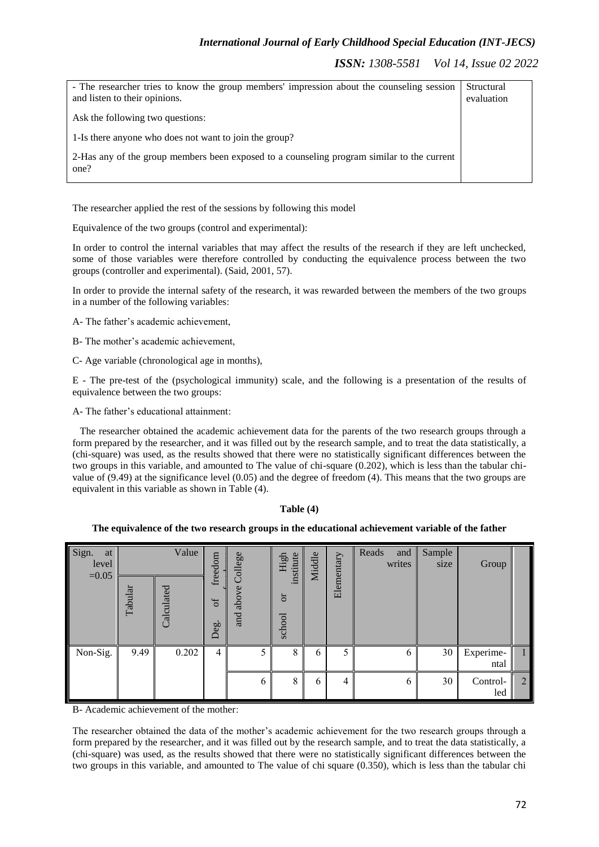*ISSN: 1308-5581 Vol 14, Issue 02 2022*

| - The researcher tries to know the group members' impression about the counseling session          | Structural |
|----------------------------------------------------------------------------------------------------|------------|
| and listen to their opinions.                                                                      | evaluation |
| Ask the following two questions:                                                                   |            |
| 1-Is there anyone who does not want to join the group?                                             |            |
| 2-Has any of the group members been exposed to a counseling program similar to the current<br>one? |            |

The researcher applied the rest of the sessions by following this model

Equivalence of the two groups (control and experimental):

In order to control the internal variables that may affect the results of the research if they are left unchecked, some of those variables were therefore controlled by conducting the equivalence process between the two groups (controller and experimental). (Said, 2001, 57).

In order to provide the internal safety of the research, it was rewarded between the members of the two groups in a number of the following variables:

A- The father's academic achievement,

B- The mother's academic achievement,

C- Age variable (chronological age in months),

E - The pre-test of the (psychological immunity) scale, and the following is a presentation of the results of equivalence between the two groups:

A- The father's educational attainment:

 The researcher obtained the academic achievement data for the parents of the two research groups through a form prepared by the researcher, and it was filled out by the research sample, and to treat the data statistically, a (chi-square) was used, as the results showed that there were no statistically significant differences between the two groups in this variable, and amounted to The value of chi-square (0.202), which is less than the tabular chivalue of (9.49) at the significance level (0.05) and the degree of freedom (4). This means that the two groups are equivalent in this variable as shown in Table (4).

| <b>fable</b> (4) |  |
|------------------|--|
|                  |  |

**The equivalence of the two research groups in the educational achievement variable of the father**

| Sign.<br>at<br>level<br>$=0.05$ | $\rm Tabular$ | Value<br>$_{\rm Calculated}$ | freedom<br>b <sup>t</sup><br>Deg. | College<br>ye<br>abo <sup>r</sup><br>and | institute<br>High<br>$\overline{5}$<br>school | Middle | Elementary | Reads<br>and<br>writes | Sample<br>size | Group             |                |
|---------------------------------|---------------|------------------------------|-----------------------------------|------------------------------------------|-----------------------------------------------|--------|------------|------------------------|----------------|-------------------|----------------|
| Non-Sig.                        | 9.49          | 0.202                        | $\overline{4}$                    | 5                                        | 8                                             | 6      | 5          | 6                      | 30             | Experime-<br>ntal | ı.             |
|                                 |               |                              |                                   | 6                                        | $\,8\,$                                       | 6      | 4          | 6                      | 30             | Control-<br>led   | $\overline{2}$ |

B- Academic achievement of the mother:

The researcher obtained the data of the mother's academic achievement for the two research groups through a form prepared by the researcher, and it was filled out by the research sample, and to treat the data statistically, a (chi-square) was used, as the results showed that there were no statistically significant differences between the two groups in this variable, and amounted to The value of chi square (0.350), which is less than the tabular chi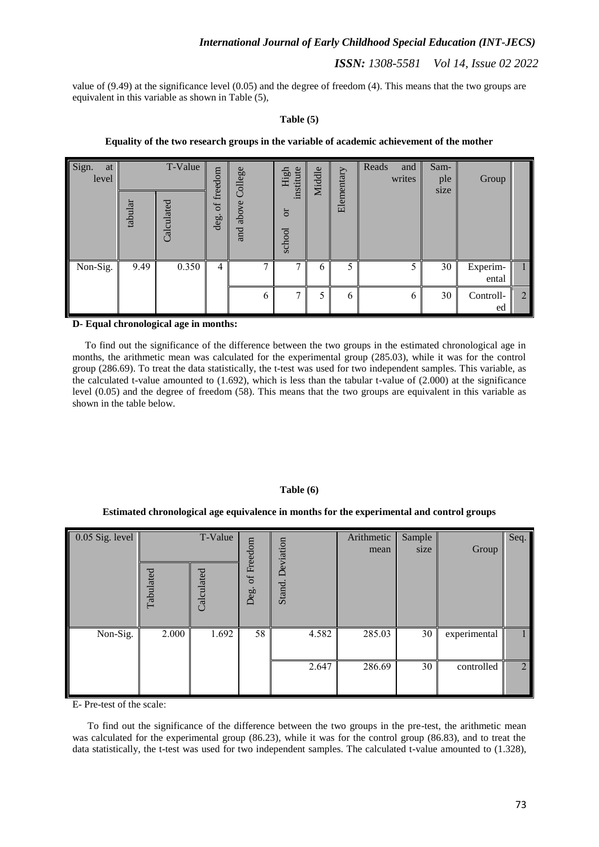*ISSN: 1308-5581 Vol 14, Issue 02 2022*

value of (9.49) at the significance level (0.05) and the degree of freedom (4). This means that the two groups are equivalent in this variable as shown in Table (5),

## **Table (5)**

**Equality of the two research groups in the variable of academic achievement of the mother**

| Sign.<br>at<br>level | tabular | T-Value<br>Calculated | freedom<br>of<br>$\bullet$<br>deg. | College<br>and above | institute<br>High<br>ð<br>school | Middle | Elementary | Reads<br>and<br>writes | Sam-<br>ple<br>size | Group             |                |
|----------------------|---------|-----------------------|------------------------------------|----------------------|----------------------------------|--------|------------|------------------------|---------------------|-------------------|----------------|
| Non-Sig.             | 9.49    | 0.350                 | 4                                  | 7                    | 7                                | 6      | 5          | 5                      | 30                  | Experim-<br>ental | 1              |
|                      |         |                       |                                    | 6                    | 7                                | 5      | 6          | 6                      | 30                  | Controll-<br>ed   | $\overline{2}$ |

## **D- Equal chronological age in months:**

 To find out the significance of the difference between the two groups in the estimated chronological age in months, the arithmetic mean was calculated for the experimental group (285.03), while it was for the control group (286.69). To treat the data statistically, the t-test was used for two independent samples. This variable, as the calculated t-value amounted to  $(1.692)$ , which is less than the tabular t-value of  $(2.000)$  at the significance level (0.05) and the degree of freedom (58). This means that the two groups are equivalent in this variable as shown in the table below.

#### **Table (6)**

#### **Estimated chronological age equivalence in months for the experimental and control groups**

| $0.05$ Sig. level | Tabulated | T-Value<br>Calculated | of Freedom<br>Deg. | Deviation<br>Stand. |       | Arithmetic<br>mean | Sample<br>size | Group        | Seq.           |
|-------------------|-----------|-----------------------|--------------------|---------------------|-------|--------------------|----------------|--------------|----------------|
| Non-Sig.          | 2.000     | 1.692                 | 58                 |                     | 4.582 | 285.03             | 30             | experimental | $\mathbf{1}$   |
|                   |           |                       |                    |                     | 2.647 | 286.69             | 30             | controlled   | $\overline{2}$ |

E- Pre-test of the scale:

 To find out the significance of the difference between the two groups in the pre-test, the arithmetic mean was calculated for the experimental group (86.23), while it was for the control group (86.83), and to treat the data statistically, the t-test was used for two independent samples. The calculated t-value amounted to (1.328),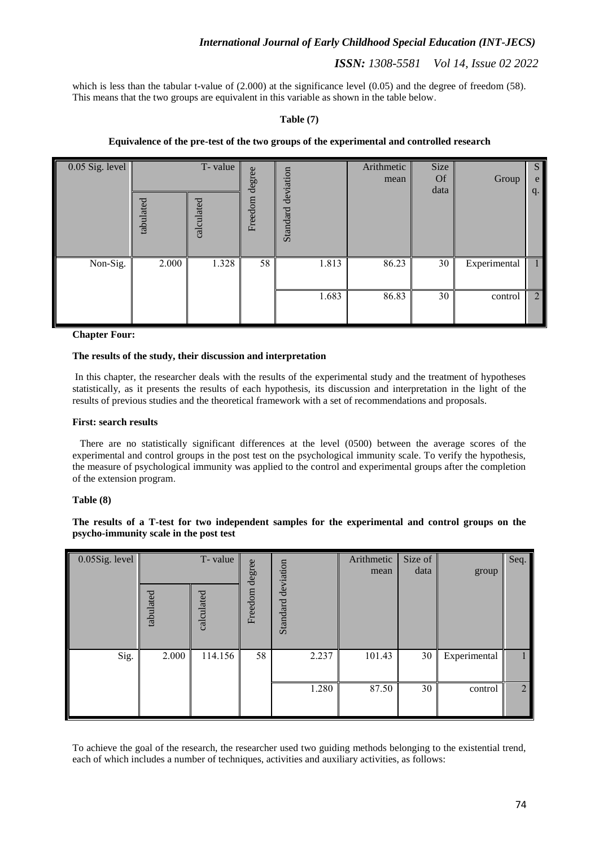*ISSN: 1308-5581 Vol 14, Issue 02 2022*

which is less than the tabular t-value of  $(2.000)$  at the significance level  $(0.05)$  and the degree of freedom (58). This means that the two groups are equivalent in this variable as shown in the table below.

## **Table (7)**

**Equivalence of the pre-test of the two groups of the experimental and controlled research**

| $0.05$ Sig. level | tabulated | T-value<br>calculated | degree<br>Freedom | deviation<br>Standard | Arithmetic<br>mean | Size<br>Of<br>data | Group        | S<br>e<br>q. |
|-------------------|-----------|-----------------------|-------------------|-----------------------|--------------------|--------------------|--------------|--------------|
| Non-Sig.          | 2.000     | 1.328                 | 58                | 1.813                 | 86.23              | 30                 | Experimental | 1            |
|                   |           |                       |                   | 1.683                 | 86.83              | 30                 | control      | 2            |

**Chapter Four:** 

#### **The results of the study, their discussion and interpretation**

In this chapter, the researcher deals with the results of the experimental study and the treatment of hypotheses statistically, as it presents the results of each hypothesis, its discussion and interpretation in the light of the results of previous studies and the theoretical framework with a set of recommendations and proposals.

## **First: search results**

 There are no statistically significant differences at the level (0500) between the average scores of the experimental and control groups in the post test on the psychological immunity scale. To verify the hypothesis, the measure of psychological immunity was applied to the control and experimental groups after the completion of the extension program.

## **Table (8)**

**The results of a T-test for two independent samples for the experimental and control groups on the psycho-immunity scale in the post test**

| 0.05Sig. level | T-value   |            | degree  | deviation | Arithmetic<br>mean | Size of<br>data | group        | Seq.           |
|----------------|-----------|------------|---------|-----------|--------------------|-----------------|--------------|----------------|
|                | tabulated | calculated | Freedom | Standard  |                    |                 |              |                |
| Sig.           | 2.000     | 114.156    | 58      | 2.237     | 101.43             | 30              | Experimental |                |
|                |           |            |         | 1.280     | 87.50              | 30              | control      | $\overline{2}$ |

To achieve the goal of the research, the researcher used two guiding methods belonging to the existential trend, each of which includes a number of techniques, activities and auxiliary activities, as follows: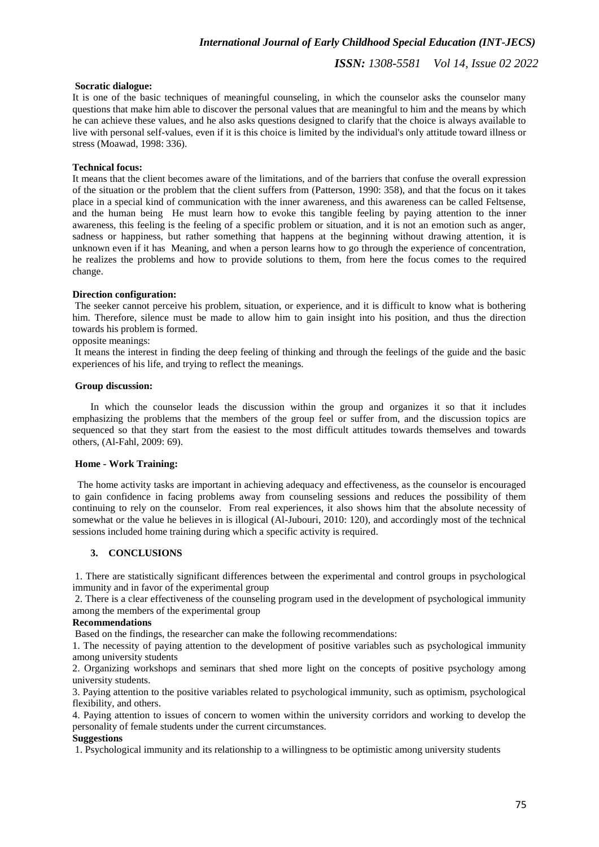*ISSN: 1308-5581 Vol 14, Issue 02 2022*

## **Socratic dialogue:**

It is one of the basic techniques of meaningful counseling, in which the counselor asks the counselor many questions that make him able to discover the personal values that are meaningful to him and the means by which he can achieve these values, and he also asks questions designed to clarify that the choice is always available to live with personal self-values, even if it is this choice is limited by the individual's only attitude toward illness or stress (Moawad, 1998: 336).

## **Technical focus:**

It means that the client becomes aware of the limitations, and of the barriers that confuse the overall expression of the situation or the problem that the client suffers from (Patterson, 1990: 358), and that the focus on it takes place in a special kind of communication with the inner awareness, and this awareness can be called Feltsense, and the human being He must learn how to evoke this tangible feeling by paying attention to the inner awareness, this feeling is the feeling of a specific problem or situation, and it is not an emotion such as anger, sadness or happiness, but rather something that happens at the beginning without drawing attention, it is unknown even if it has Meaning, and when a person learns how to go through the experience of concentration, he realizes the problems and how to provide solutions to them, from here the focus comes to the required change.

#### **Direction configuration:**

The seeker cannot perceive his problem, situation, or experience, and it is difficult to know what is bothering him. Therefore, silence must be made to allow him to gain insight into his position, and thus the direction towards his problem is formed.

## opposite meanings:

It means the interest in finding the deep feeling of thinking and through the feelings of the guide and the basic experiences of his life, and trying to reflect the meanings.

#### **Group discussion:**

In which the counselor leads the discussion within the group and organizes it so that it includes emphasizing the problems that the members of the group feel or suffer from, and the discussion topics are sequenced so that they start from the easiest to the most difficult attitudes towards themselves and towards others, (Al-Fahl, 2009: 69).

#### **Home - Work Training:**

 The home activity tasks are important in achieving adequacy and effectiveness, as the counselor is encouraged to gain confidence in facing problems away from counseling sessions and reduces the possibility of them continuing to rely on the counselor. From real experiences, it also shows him that the absolute necessity of somewhat or the value he believes in is illogical (Al-Jubouri, 2010: 120), and accordingly most of the technical sessions included home training during which a specific activity is required.

## **3. CONCLUSIONS**

1. There are statistically significant differences between the experimental and control groups in psychological immunity and in favor of the experimental group

2. There is a clear effectiveness of the counseling program used in the development of psychological immunity among the members of the experimental group

## **Recommendations**

Based on the findings, the researcher can make the following recommendations:

1. The necessity of paying attention to the development of positive variables such as psychological immunity among university students

2. Organizing workshops and seminars that shed more light on the concepts of positive psychology among university students.

3. Paying attention to the positive variables related to psychological immunity, such as optimism, psychological flexibility, and others.

4. Paying attention to issues of concern to women within the university corridors and working to develop the personality of female students under the current circumstances.

## **Suggestions**

1. Psychological immunity and its relationship to a willingness to be optimistic among university students